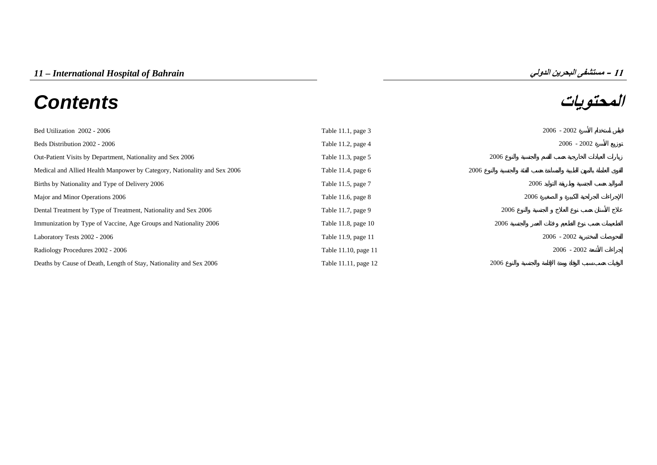# **المحتويات** *Contents*



| Bed Utilization 2002 - 2006                                              | Table 11.1, page 3   |      | $2006 - 2002$ |
|--------------------------------------------------------------------------|----------------------|------|---------------|
| Beds Distribution 2002 - 2006                                            | Table 11.2, page $4$ |      | $2006 - 2002$ |
| Out-Patient Visits by Department, Nationality and Sex 2006               | Table 11.3, page 5   | 2006 |               |
| Medical and Allied Health Manpower by Category, Nationality and Sex 2006 | Table 11.4, page $6$ | 2006 |               |
| Births by Nationality and Type of Delivery 2006                          | Table 11.5, page 7   |      | 2006          |
| Major and Minor Operations 2006                                          | Table 11.6, page $8$ |      | 2006          |
| Dental Treatment by Type of Treatment, Nationality and Sex 2006          | Table 11.7, page 9   | 2006 |               |
| Immunization by Type of Vaccine, Age Groups and Nationality 2006         | Table 11.8, page 10  | 2006 |               |
| Laboratory Tests 2002 - 2006                                             | Table 11.9, page 11  |      | $2006 - 2002$ |
| Radiology Procedures 2002 - 2006                                         | Table 11.10, page 11 |      | $2006 - 2002$ |
| Deaths by Cause of Death, Length of Stay, Nationality and Sex 2006       | Table 11.11, page 12 | 2006 |               |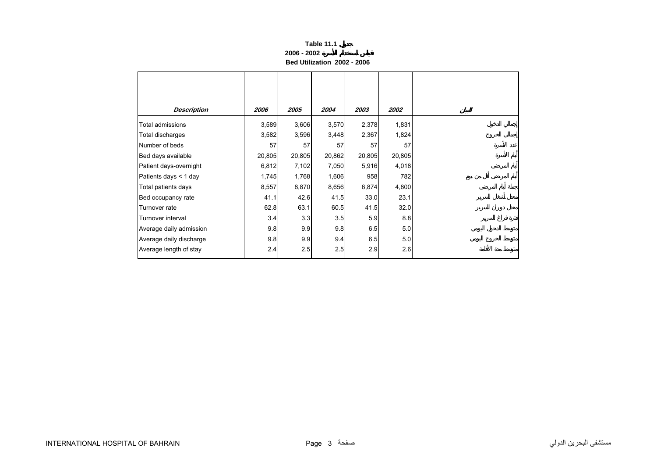## **Table 11.1 2006 - 2002Bed Utilization 2002 - 2006**

<span id="page-1-0"></span>

| <b>Description</b>      | 2006   | 2005   | 2004   | 2003   | <i><b>2002</b></i> |
|-------------------------|--------|--------|--------|--------|--------------------|
| Total admissions        | 3,589  | 3,606  | 3,570  | 2,378  | 1,831              |
| Total discharges        | 3,582  | 3,596  | 3,448  | 2,367  | 1,824              |
| Number of beds          | 57     | 57     | 57     | 57     | 57                 |
| Bed days available      | 20,805 | 20,805 | 20,862 | 20,805 | 20,805             |
| Patient days-overnight  | 6,812  | 7,102  | 7,050  | 5,916  | 4,018              |
| Patients days < 1 day   | 1,745  | 1,768  | 1,606  | 958    | 782                |
| Total patients days     | 8,557  | 8,870  | 8,656  | 6,874  | 4,800              |
| Bed occupancy rate      | 41.1   | 42.6   | 41.5   | 33.0   | 23.1               |
| Turnover rate           | 62.8   | 63.1   | 60.5   | 41.5   | 32.0               |
| Turnover interval       | 3.4    | 3.3    | 3.5    | 5.9    | 8.8                |
| Average daily admission | 9.8    | 9.9    | 9.8    | 6.5    | 5.0                |
| Average daily discharge | 9.8    | 9.9    | 9.4    | 6.5    | 5.0                |
| Average length of stay  | 2.4    | 2.5    | 2.5    | 2.9    | 2.6                |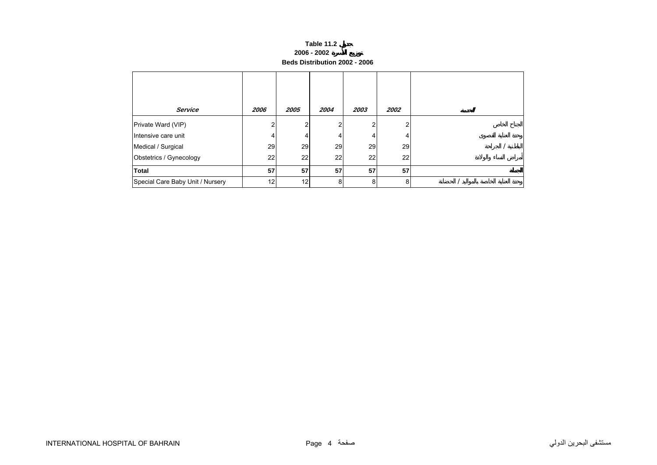## **Table 11.2 2006 - 2002 Beds Distribution 2002 - 2006**

<span id="page-2-0"></span>

| <b>Service</b>                   | 2006 | 2005 | 2004 | 2003 | 2002 |  |
|----------------------------------|------|------|------|------|------|--|
| Private Ward (VIP)               |      | r    | ົ    |      |      |  |
| Intensive care unit              | 4    |      | 4    | 4.   |      |  |
| Medical / Surgical               | 29   | 29   | 29   | 29   | 29   |  |
| Obstetrics / Gynecology          | 22   | 22   | 22   | 22   | 22   |  |
| <b>Total</b>                     | 57   | 57   | 57   | 57   | 57   |  |
| Special Care Baby Unit / Nursery | 12   | 12   | 8    | 8    | 8    |  |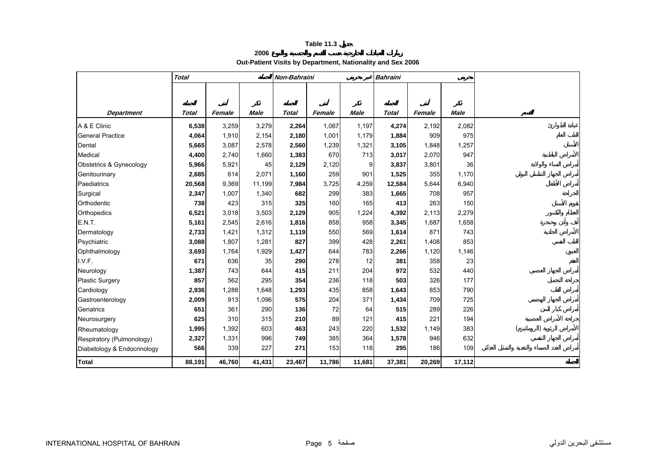# **2006Out-Patient Visits by Department, Nationality and Sex 2006**

<span id="page-3-0"></span>

|                             | <b>Total</b> |        |             | Non-Bahraini |        |             | <b>Bahraini</b> |        |             |  |
|-----------------------------|--------------|--------|-------------|--------------|--------|-------------|-----------------|--------|-------------|--|
|                             |              |        |             |              |        |             |                 |        |             |  |
|                             |              |        |             |              |        |             |                 |        |             |  |
| <b>Department</b>           | <b>Total</b> | Female | <b>Male</b> | <b>Total</b> | Female | <b>Male</b> | <b>Total</b>    | Female | <b>Male</b> |  |
| A & E Clinic                | 6,538        | 3,259  | 3,279       | 2,264        | 1,067  | 1,197       | 4,274           | 2,192  | 2,082       |  |
| <b>General Practice</b>     | 4,064        | 1,910  | 2,154       | 2,180        | 1,001  | 1,179       | 1,884           | 909    | 975         |  |
| Dental                      | 5,665        | 3,087  | 2,578       | 2,560        | 1,239  | 1,321       | 3,105           | 1,848  | 1,257       |  |
| Medical                     | 4,400        | 2,740  | 1,660       | 1,383        | 670    | 713         | 3,017           | 2,070  | 947         |  |
| Obstetrics & Gynecology     | 5,966        | 5,921  | 45          | 2,129        | 2,120  | 9           | 3,837           | 3,801  | 36          |  |
| Genitourinary               | 2,685        | 614    | 2,071       | 1,160        | 259    | 901         | 1,525           | 355    | 1,170       |  |
| Paediatrics                 | 20,568       | 9,369  | 11,199      | 7,984        | 3,725  | 4,259       | 12,584          | 5,644  | 6,940       |  |
| Surgical                    | 2,347        | 1,007  | 1,340       | 682          | 299    | 383         | 1,665           | 708    | 957         |  |
| Orthodentic                 | 738          | 423    | 315         | 325          | 160    | 165         | 413             | 263    | 150         |  |
| Orthopedics                 | 6,521        | 3,018  | 3,503       | 2,129        | 905    | 1,224       | 4,392           | 2,113  | 2,279       |  |
| E.N.T.                      | 5,161        | 2,545  | 2,616       | 1,816        | 858    | 958         | 3,345           | 1,687  | 1,658       |  |
| Dermatology                 | 2,733        | 1,421  | 1,312       | 1,119        | 550    | 569         | 1,614           | 871    | 743         |  |
| Psychiatric                 | 3,088        | 1,807  | 1,281       | 827          | 399    | 428         | 2,261           | 1,408  | 853         |  |
| Ophthalmology               | 3,693        | 1,764  | 1,929       | 1,427        | 644    | 783         | 2,266           | 1,120  | 1,146       |  |
| I.V.F.                      | 671          | 636    | 35          | 290          | 278    | 12          | 381             | 358    | 23          |  |
| Neurology                   | 1,387        | 743    | 644         | 415          | 211    | 204         | 972             | 532    | 440         |  |
| Plastic Surgery             | 857          | 562    | 295         | 354          | 236    | 118         | 503             | 326    | 177         |  |
| Cardiology                  | 2,936        | 1,288  | 1,648       | 1,293        | 435    | 858         | 1,643           | 853    | 790         |  |
| Gastroenterology            | 2,009        | 913    | 1,096       | 575          | 204    | 371         | 1,434           | 709    | 725         |  |
| Geriatrics                  | 651          | 361    | 290         | 136          | 72     | 64          | 515             | 289    | 226         |  |
| Neurosurgery                | 625          | 310    | 315         | 210          | 89     | 121         | 415             | 221    | 194         |  |
| Rheumatology                | 1,995        | 1,392  | 603         | 463          | 243    | 220         | 1,532           | 1,149  | 383         |  |
| Respiratory (Pulmonology)   | 2,327        | 1,331  | 996         | 749          | 385    | 364         | 1,578           | 946    | 632         |  |
| Diabetology & Endocrinology | 566          | 339    | 227         | 271          | 153    | 118         | 295             | 186    | 109         |  |
| <b>Total</b>                | 88,191       | 46,760 | 41,431      | 23,467       | 11,786 | 11,681      | 37,381          | 20,269 | 17,112      |  |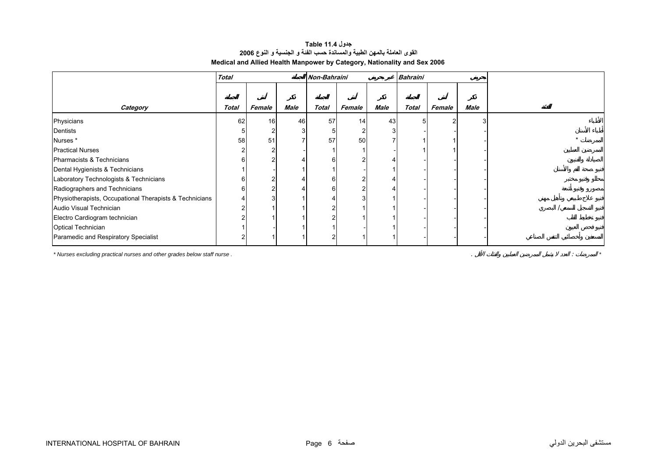## **جدول 11.4 Table القوى العاملة بالمهن الطبية والمساندة حسب الفئة <sup>و</sup> الجنسية <sup>و</sup> النوع <sup>2006</sup> Medical and Allied Health Manpower by Category, Nationality and Sex 2006**

<span id="page-4-0"></span>

|                                                         | <b>Total</b> |                |      | Non-Bahraini |        |      | <b>Bahraini</b> |        |             |  |
|---------------------------------------------------------|--------------|----------------|------|--------------|--------|------|-----------------|--------|-------------|--|
|                                                         |              |                |      |              |        |      |                 |        |             |  |
| Category                                                | Total        | Female         | Male | <b>Total</b> | Female | Male | <b>Total</b>    | Female | <b>Male</b> |  |
| Physicians                                              | 62           | 16             | 46   | 57           | 14     | 43   |                 |        |             |  |
| Dentists                                                | 5            |                |      |              |        |      |                 |        |             |  |
| Nurses*                                                 | 58           | 51             |      | 57           | 50     |      |                 |        |             |  |
| <b>Practical Nurses</b>                                 |              |                |      |              |        |      |                 |        |             |  |
| Pharmacists & Technicians                               | 6            | $\sqrt{2}$     |      |              |        |      |                 |        |             |  |
| Dental Hygienists & Technicians                         |              |                |      |              |        |      |                 |        |             |  |
| Laboratory Technologists & Technicians                  | 6            |                |      | n            |        |      |                 |        |             |  |
| Radiographers and Technicians                           | 6            | $\overline{c}$ |      |              |        |      |                 |        |             |  |
| Physiotherapists, Occupational Therapists & Technicians |              |                |      |              |        |      |                 |        |             |  |
| Audio Visual Technician                                 |              |                |      |              |        |      |                 |        |             |  |
| Electro Cardiogram technician                           |              |                |      |              |        |      |                 |        |             |  |
| <b>Optical Technician</b>                               |              |                |      |              |        |      |                 |        |             |  |
| Paramedic and Respiratory Specialist                    |              |                |      |              |        |      |                 |        |             |  |

*\* Nurses excluding practical nurses and other grades below staff nurse .* . : *\**

INTERNATIONAL HOSPITAL OF BAHRAIN Page 6 صفحة الدولي البحرين مستشفى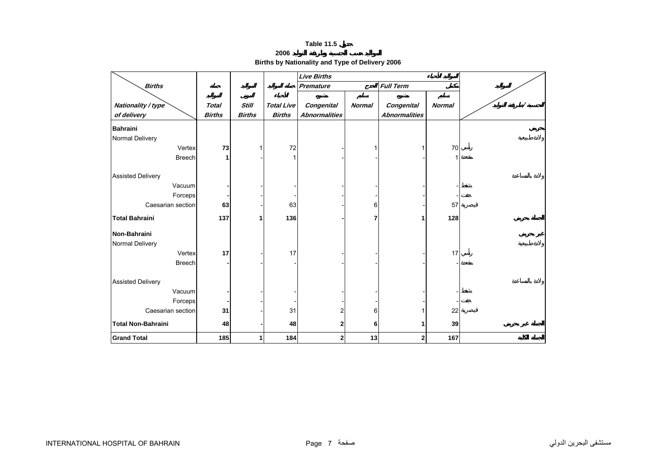**2006**

**Births by Nationality and Type of Delivery 2006** 

<span id="page-5-0"></span>

|                           |               |               |                   | <b>Live Births</b>   |               |                      |               |  |
|---------------------------|---------------|---------------|-------------------|----------------------|---------------|----------------------|---------------|--|
| <b>Births</b>             |               |               |                   | <b>Premature</b>     |               | <b>Full Term</b>     |               |  |
|                           |               |               |                   |                      |               |                      |               |  |
| Nationality / type        | <b>Total</b>  | <b>Still</b>  | <b>Total Live</b> | <b>Congenital</b>    | <b>Normal</b> | Congenital           | <b>Normal</b> |  |
| of delivery               | <b>Births</b> | <b>Births</b> | <b>Births</b>     | <b>Abnormalities</b> |               | <b>Abnormalities</b> |               |  |
| <b>Bahraini</b>           |               |               |                   |                      |               |                      |               |  |
| Normal Delivery           |               |               |                   |                      |               |                      |               |  |
| Vertex                    | 73            |               | 72                |                      |               | 1                    | 70            |  |
| <b>Breech</b>             | 1             |               | 1                 |                      |               |                      |               |  |
|                           |               |               |                   |                      |               |                      |               |  |
| <b>Assisted Delivery</b>  |               |               |                   |                      |               |                      |               |  |
| Vacuum                    |               |               |                   |                      |               |                      |               |  |
| Forceps                   |               |               |                   |                      |               |                      |               |  |
| Caesarian section         | 63            |               | 63                |                      | 6             |                      | 57            |  |
| <b>Total Bahraini</b>     | 137           | 1             | 136               |                      | 7             | 1                    | 128           |  |
| Non-Bahraini              |               |               |                   |                      |               |                      |               |  |
| Normal Delivery           |               |               |                   |                      |               |                      |               |  |
| Vertex                    | 17            |               | 17                |                      |               |                      | 17            |  |
| <b>Breech</b>             |               |               |                   |                      |               |                      |               |  |
|                           |               |               |                   |                      |               |                      |               |  |
| <b>Assisted Delivery</b>  |               |               |                   |                      |               |                      |               |  |
| Vacuum                    |               |               |                   |                      |               |                      |               |  |
| Forceps                   |               |               |                   |                      |               |                      |               |  |
| Caesarian section         | 31            |               | 31                | 2                    | 6             |                      | 22            |  |
| <b>Total Non-Bahraini</b> | 48            |               | 48                | $\mathbf{2}$         | 6             | 1                    | 39            |  |
| <b>Grand Total</b>        | 185           | 1             | 184               | $\mathbf{2}$         | 13            | 2                    | 167           |  |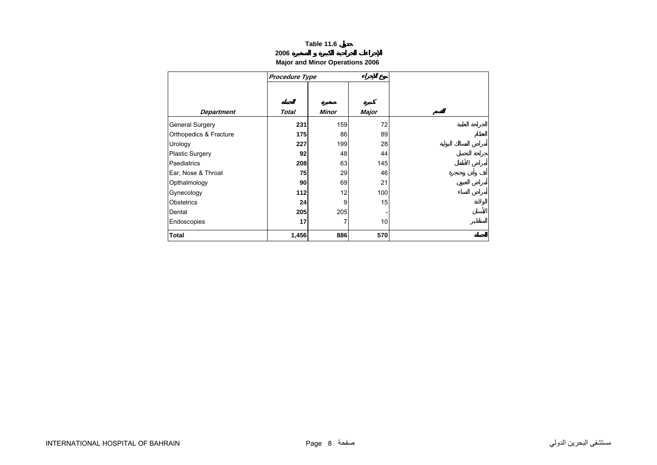## **2006**

# **Major and Minor Operations 2006**

<span id="page-6-0"></span>

|                        | <b>Procedure Type</b> |       |       |
|------------------------|-----------------------|-------|-------|
|                        |                       |       |       |
|                        |                       |       |       |
| <b>Department</b>      | Total                 | Minor | Major |
| <b>General Surgery</b> | 231                   | 159   | 72    |
| Orthopedics & Fracture | 175                   | 86    | 89    |
| Urology                | 227                   | 199   | 28    |
| Plastic Surgery        | 92                    | 48    | 44    |
| Paediatrics            | 208                   | 63    | 145   |
| Ear, Nose & Throat     | 75                    | 29    | 46    |
| Opthalmology           | 90                    | 69    | 21    |
| Gynecology             | 112                   | 12    | 100   |
| <b>Obstetrics</b>      | 24                    | 9     | 15    |
| Dental                 | 205                   | 205   |       |
| Endoscopies            | 17                    | 7     | 10    |
| Total                  | 1,456                 | 886   | 570   |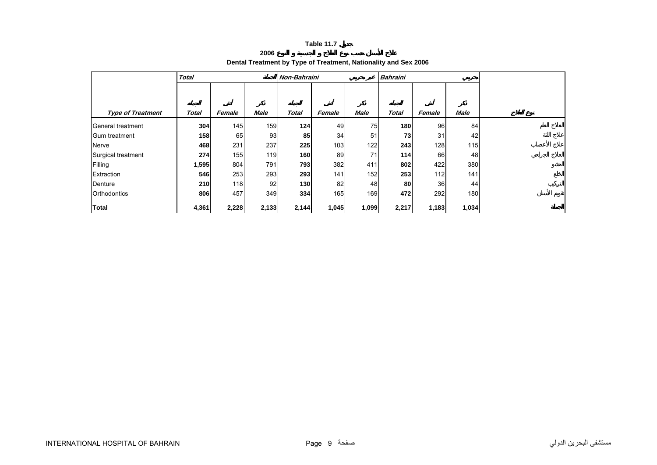**2006**

# **Dental Treatment by Type of Treatment, Nationality and Sex 2006**

<span id="page-7-0"></span>

|                          | <b>Total</b> |        |             | <b>Non-Bahraini</b> |        |             | <b>Bahraini</b> |        |                  |  |
|--------------------------|--------------|--------|-------------|---------------------|--------|-------------|-----------------|--------|------------------|--|
|                          |              |        |             |                     |        |             |                 |        |                  |  |
| <b>Type of Treatment</b> | Total        | Female | <b>Male</b> | Total               | Female | <b>Male</b> | <b>Total</b>    | Female | <b>Male</b>      |  |
| General treatment        | 304          | 145    | 159         | 124                 | 49     | 75          | 180             | 96     | 84               |  |
| Gum treatment            | 158          | 65     | 93          | 85                  | 34     | 51          | 73              | 31     | 42               |  |
| Nerve                    | 468          | 231    | 237         | 225                 | 103    | 122         | 243             | 128    | 115              |  |
| Surgical treatment       | 274          | 155    | 119         | 160                 | 89     | 71          | 114             | 66     | 48               |  |
| Filling                  | 1,595        | 804    | 791         | 793                 | 382    | 411         | 802             | 422    | 380              |  |
| Extraction               | 546          | 253    | 293         | 293                 | 141    | 152         | 253             | 112    | 141              |  |
| Denture                  | 210          | 118    | 92          | 130                 | 82     | 48          | 80              | 36     | 44               |  |
| <b>Orthodontics</b>      | 806          | 457    | 349         | 334                 | 165    | 169         | 472             | 292    | 180 <sup>1</sup> |  |
| <b>Total</b>             | 4,361        | 2,228  | 2,133       | 2,144               | 1,045  | 1,099       | 2,217           | 1,183  | 1,034            |  |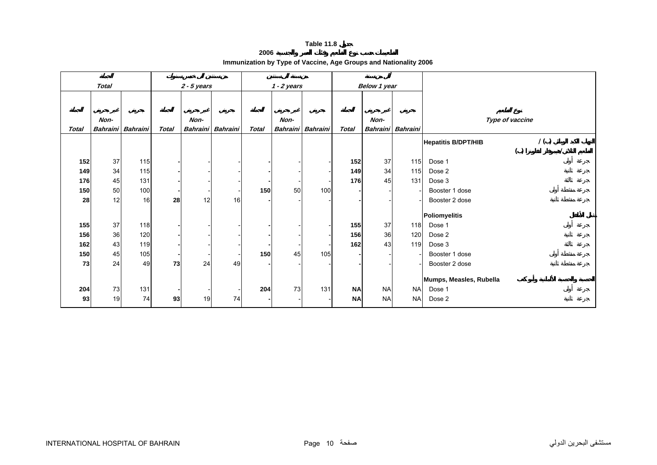**2006**

<span id="page-8-0"></span>

|              | <b>Total</b> |                   |              | $2 - 5$ years |                   |       | $1 - 2$ years |                          |              | <b>Below 1 year</b> |           |                                   |
|--------------|--------------|-------------------|--------------|---------------|-------------------|-------|---------------|--------------------------|--------------|---------------------|-----------|-----------------------------------|
|              |              |                   |              |               |                   |       |               |                          |              |                     |           |                                   |
|              |              |                   |              |               |                   |       |               |                          |              |                     |           |                                   |
|              | Non-         |                   |              | Non-          |                   |       | Non-          |                          |              | Non-                |           | Type of vaccine                   |
| <b>Total</b> |              | Bahraini Bahraini | <b>Total</b> |               | Bahraini Bahraini | Total |               | <b>Bahraini</b> Bahraini | <b>Total</b> | <b>Bahraini</b>     | Bahraini  |                                   |
|              |              |                   |              |               |                   |       |               |                          |              |                     |           | 1()<br><b>Hepatitis B/DPT/HIB</b> |
|              |              |                   |              |               |                   |       |               |                          |              |                     |           | ( )                               |
| 152          | 37           | 115               |              |               |                   |       |               |                          | 152          | 37                  | 115       | Dose 1                            |
| 149          | 34           | 115               |              |               |                   |       |               |                          | 149          | 34                  | 115       | Dose 2                            |
| 176          | 45           | 131               |              |               |                   |       |               | $\overline{\phantom{a}}$ | 176          | 45                  | 131       | Dose 3                            |
| 150          | 50           | 100               |              |               |                   | 150   | 50            | 100                      |              |                     |           | Booster 1 dose                    |
| 28           | 12           | 16                | 28           | 12            | 16                |       |               |                          |              |                     |           | Booster 2 dose                    |
|              |              |                   |              |               |                   |       |               |                          |              |                     |           |                                   |
|              |              |                   |              |               |                   |       |               |                          |              |                     |           | Poliomyelitis                     |
| 155          | 37           | 118               |              |               |                   |       |               |                          | 155          | 37                  | 118       | Dose 1                            |
| 156          | 36           | 120               |              |               |                   |       |               |                          | 156          | 36                  | 120       | Dose 2                            |
| 162          | 43           | 119               |              |               |                   |       |               |                          | 162          | 43                  | 119       | Dose 3                            |
| 150          | 45           | 105               |              |               |                   | 150   | 45            | 105                      |              |                     |           | Booster 1 dose                    |
| 73           | 24           | 49                | 73           | 24            | 49                |       |               |                          |              |                     |           | Booster 2 dose                    |
|              |              |                   |              |               |                   |       |               |                          |              |                     |           | Mumps, Measles, Rubella           |
| 204          | 73           | 131               |              |               |                   | 204   | 73            | 131                      | <b>NA</b>    | <b>NA</b>           | <b>NA</b> | Dose 1                            |
| 93           | 19           | 74                | 93           | 19            | 74                |       |               |                          | <b>NA</b>    | <b>NA</b>           | <b>NA</b> | Dose 2                            |
|              |              |                   |              |               |                   |       |               |                          |              |                     |           |                                   |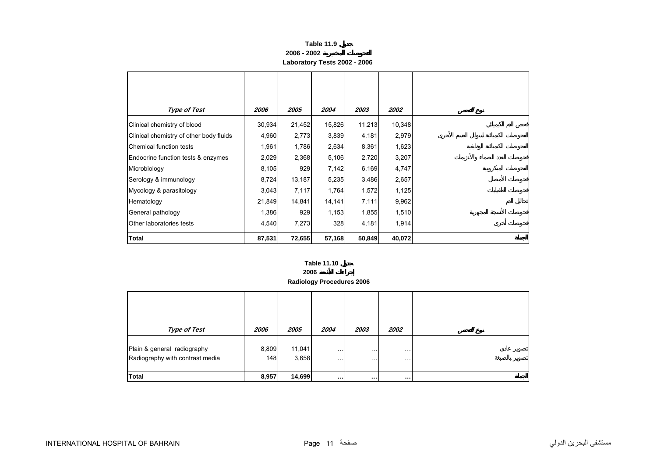| Table 11.9                   |
|------------------------------|
| 2006 - 2002                  |
| Laboratory Tests 2002 - 2006 |

<span id="page-9-0"></span>

| <b>Type of Test</b>                     | 2006   | 2005   | 2004   | 2003   | 2002   |
|-----------------------------------------|--------|--------|--------|--------|--------|
| Clinical chemistry of blood             | 30,934 | 21,452 | 15,826 | 11,213 | 10,348 |
| Clinical chemistry of other body fluids | 4,960  | 2,773  | 3,839  | 4,181  | 2,979  |
| Chemical function tests                 | 1,961  | 1,786  | 2,634  | 8,361  | 1,623  |
| Endocrine function tests & enzymes      | 2,029  | 2,368  | 5,106  | 2,720  | 3,207  |
| Microbiology                            | 8,105  | 929    | 7,142  | 6,169  | 4,747  |
| Serology & immunology                   | 8,724  | 13,187 | 5,235  | 3,486  | 2,657  |
| Mycology & parasitology                 | 3,043  | 7,117  | 1,764  | 1,572  | 1,125  |
| Hematology                              | 21,849 | 14,841 | 14,141 | 7,111  | 9,962  |
| General pathology                       | 1,386  | 929    | 1,153  | 1,855  | 1,510  |
| Other laboratories tests                | 4,540  | 7,273  | 328    | 4,181  | 1,914  |
| <b>Total</b>                            | 87,531 | 72,655 | 57,168 | 50,849 | 40,072 |

**2006**

**Radiology Procedures 2006**

| <b>Type of Test</b>                                            | 2006         | 2005            | 2004                  | 2003                   | 2002                 |
|----------------------------------------------------------------|--------------|-----------------|-----------------------|------------------------|----------------------|
| Plain & general radiography<br>Radiography with contrast media | 8,809<br>148 | 11,041<br>3,658 | $\cdots$<br>$\ddotsc$ | $\cdot$ .<br>$\cdot$ . | $\cdots$<br>$\cdots$ |
| <b>Total</b>                                                   | 8,957        | 14,699          | $\cdots$              | $\cdots$               | $\cdots$             |